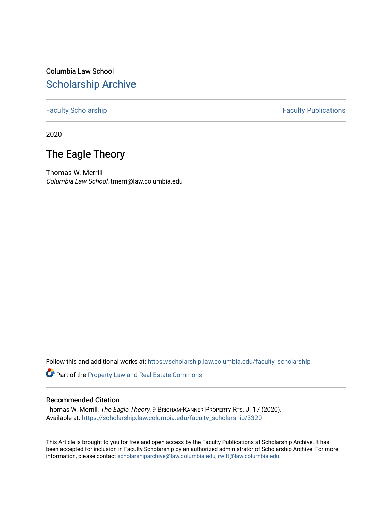# Columbia Law School [Scholarship Archive](https://scholarship.law.columbia.edu/)

# [Faculty Scholarship](https://scholarship.law.columbia.edu/faculty_scholarship) **Faculty Publications**

2020

# The Eagle Theory

Thomas W. Merrill Columbia Law School, tmerri@law.columbia.edu

Follow this and additional works at: [https://scholarship.law.columbia.edu/faculty\\_scholarship](https://scholarship.law.columbia.edu/faculty_scholarship?utm_source=scholarship.law.columbia.edu%2Ffaculty_scholarship%2F3320&utm_medium=PDF&utm_campaign=PDFCoverPages)

Part of the [Property Law and Real Estate Commons](http://network.bepress.com/hgg/discipline/897?utm_source=scholarship.law.columbia.edu%2Ffaculty_scholarship%2F3320&utm_medium=PDF&utm_campaign=PDFCoverPages) 

## Recommended Citation

Thomas W. Merrill, The Eagle Theory, 9 BRIGHAM-KANNER PROPERTY RTS. J. 17 (2020). Available at: [https://scholarship.law.columbia.edu/faculty\\_scholarship/3320](https://scholarship.law.columbia.edu/faculty_scholarship/3320?utm_source=scholarship.law.columbia.edu%2Ffaculty_scholarship%2F3320&utm_medium=PDF&utm_campaign=PDFCoverPages)

This Article is brought to you for free and open access by the Faculty Publications at Scholarship Archive. It has been accepted for inclusion in Faculty Scholarship by an authorized administrator of Scholarship Archive. For more information, please contact [scholarshiparchive@law.columbia.edu, rwitt@law.columbia.edu](mailto:scholarshiparchive@law.columbia.edu,%20rwitt@law.columbia.edu).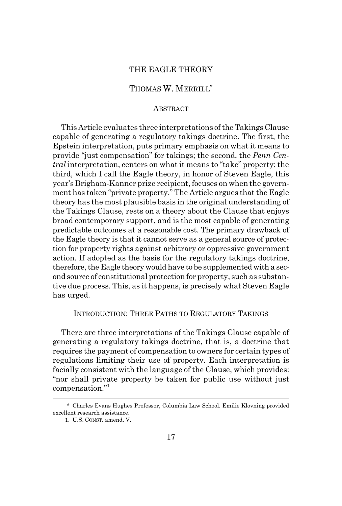## THE EAGLE THEORY

# THOMAS W. MERRILL\*

### ABSTRACT

This Article evaluates three interpretations of the Takings Clause capable of generating a regulatory takings doctrine. The first, the Epstein interpretation, puts primary emphasis on what it means to provide "just compensation" for takings; the second, the *Penn Central* interpretation, centers on what it means to "take" property; the third, which I call the Eagle theory, in honor of Steven Eagle, this year's Brigham-Kanner prize recipient, focuses on when the government has taken "private property." The Article argues that the Eagle theory has the most plausible basis in the original understanding of the Takings Clause, rests on a theory about the Clause that enjoys broad contemporary support, and is the most capable of generating predictable outcomes at a reasonable cost. The primary drawback of the Eagle theory is that it cannot serve as a general source of protection for property rights against arbitrary or oppressive government action. If adopted as the basis for the regulatory takings doctrine, therefore, the Eagle theory would have to be supplemented with a second source of constitutional protection for property, such as substantive due process. This, as it happens, is precisely what Steven Eagle has urged.

## INTRODUCTION: THREE PATHS TO REGULATORY TAKINGS

There are three interpretations of the Takings Clause capable of generating a regulatory takings doctrine, that is, a doctrine that requires the payment of compensation to owners for certain types of regulations limiting their use of property. Each interpretation is facially consistent with the language of the Clause, which provides: "nor shall private property be taken for public use without just compensation."<sup>1</sup>

<sup>\*</sup> Charles Evans Hughes Professor, Columbia Law School. Emilie Klovning provided excellent research assistance.

<sup>1.</sup> U.S. CONST. amend. V.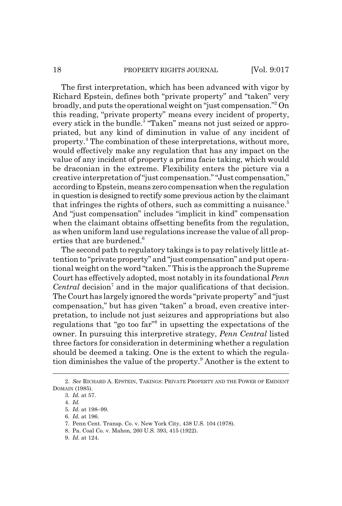The first interpretation, which has been advanced with vigor by Richard Epstein, defines both "private property" and "taken" very broadly, and puts the operational weight on "just compensation."2 On this reading, "private property" means every incident of property, every stick in the bundle.<sup>3</sup> "Taken" means not just seized or appropriated, but any kind of diminution in value of any incident of property.<sup>4</sup> The combination of these interpretations, without more, would effectively make any regulation that has any impact on the value of any incident of property a prima facie taking, which would be draconian in the extreme. Flexibility enters the picture via a creative interpretation of "just compensation." "Just compensation," according to Epstein, means zero compensation when the regulation in question is designed to rectify some previous action by the claimant that infringes the rights of others, such as committing a nuisance. $5$ And "just compensation" includes "implicit in kind" compensation when the claimant obtains offsetting benefits from the regulation, as when uniform land use regulations increase the value of all properties that are burdened.<sup>6</sup>

The second path to regulatory takings is to pay relatively little attention to "private property" and "just compensation" and put operational weight on the word "taken." This is the approach the Supreme Court has effectively adopted, most notably in its foundational *Penn* Central decision<sup>7</sup> and in the major qualifications of that decision. The Court has largely ignored the words "private property" and "just compensation," but has given "taken" a broad, even creative interpretation, to include not just seizures and appropriations but also regulations that "go too far"<sup>8</sup> in upsetting the expectations of the owner. In pursuing this interpretive strategy, *Penn Central* listed three factors for consideration in determining whether a regulation should be deemed a taking. One is the extent to which the regulation diminishes the value of the property.<sup>9</sup> Another is the extent to

<sup>2.</sup> *See* RICHARD A. EPSTEIN, TAKINGS: PRIVATE PROPERTY AND THE POWER OF EMINENT DOMAIN (1985).

<sup>3.</sup> *Id.* at 57.

<sup>4.</sup> *Id.*

<sup>5.</sup> *Id.* at 198–99.

<sup>6.</sup> *Id.* at 196.

<sup>7.</sup> Penn Cent. Transp. Co. v. New York City, 438 U.S. 104 (1978).

<sup>8.</sup> Pa. Coal Co. v. Mahon, 260 U.S. 393, 415 (1922).

<sup>9.</sup> *Id.* at 124.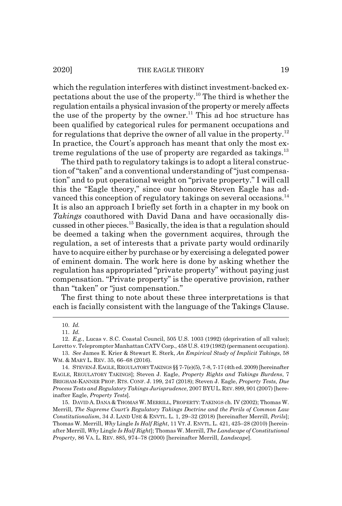2020] THE EAGLE THEORY 19

which the regulation interferes with distinct investment-backed expectations about the use of the property.<sup>10</sup> The third is whether the regulation entails a physical invasion of the property or merely affects the use of the property by the owner.<sup>11</sup> This ad hoc structure has been qualified by categorical rules for permanent occupations and for regulations that deprive the owner of all value in the property.<sup>12</sup> In practice, the Court's approach has meant that only the most extreme regulations of the use of property are regarded as takings. $^{13}$ 

The third path to regulatory takings is to adopt a literal construction of "taken" and a conventional understanding of "just compensation" and to put operational weight on "private property." I will call this the "Eagle theory," since our honoree Steven Eagle has advanced this conception of regulatory takings on several occasions.<sup>14</sup> It is also an approach I briefly set forth in a chapter in my book on *Takings* coauthored with David Dana and have occasionally discussed in other pieces.15 Basically, the idea is that a regulation should be deemed a taking when the government acquires, through the regulation, a set of interests that a private party would ordinarily have to acquire either by purchase or by exercising a delegated power of eminent domain. The work here is done by asking whether the regulation has appropriated "private property" without paying just compensation. "Private property" is the operative provision, rather than "taken" or "just compensation."

The first thing to note about these three interpretations is that each is facially consistent with the language of the Takings Clause.

<sup>10.</sup> *Id.*

<sup>11.</sup> *Id.*

<sup>12.</sup> *E.g.*, Lucas v. S.C. Coastal Council, 505 U.S. 1003 (1992) (deprivation of all value); Loretto v. Teleprompter Manhattan CATV Corp., 458 U.S. 419 (1982) (permanent occupation).

<sup>13.</sup> *See* James E. Krier & Stewart E. Sterk, *An Empirical Study of Implicit Takings*, 58 WM. & MARY L. REV. 35, 66–68 (2016).

<sup>14.</sup> STEVEN J.EAGLE, REGULATORY TAKINGS §§ 7-7(e)(5), 7-8, 7-17 (4th ed. 2009) [hereinafter EAGLE, REGULATORY TAKINGS]; Steven J. Eagle, *Property Rights and Takings Burdens*, 7 BRIGHAM-KANNER PROP. RTS. CONF. J. 199, 247 (2018); Steven J. Eagle, *Property Tests, Due Process Tests and Regulatory Takings Jurisprudence*, 2007 BYUL.REV.899,901(2007) [hereinafter Eagle, *Property Tests*].

<sup>15.</sup> DAVID A. DANA & THOMAS W. MERRILL, PROPERTY:TAKINGS ch. IV (2002); Thomas W. Merrill, *The Supreme Court's Regulatory Takings Doctrine and the Perils of Common Law Constitutionalism*, 34 J. LAND USE & ENVTL. L. 1, 29–32 (2018) [hereinafter Merrill, *Perils*]; Thomas W. Merrill, *Why* Lingle *Is Half Right*, 11 VT. J. ENVTL.L. 421, 425–28 (2010) [hereinafter Merrill, *Why* Lingle *Is Half Right*]; Thomas W. Merrill, *The Landscape of Constitutional Property*, 86 VA. L. REV. 885, 974–78 (2000) [hereinafter Merrill, *Landscape*].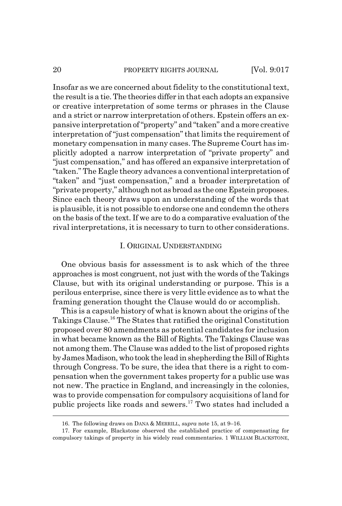#### 20 **PROPERTY RIGHTS JOURNAL** [Vol. 9:017

Insofar as we are concerned about fidelity to the constitutional text, the result is a tie. The theories differ in that each adopts an expansive or creative interpretation of some terms or phrases in the Clause and a strict or narrow interpretation of others. Epstein offers an expansive interpretation of "property" and "taken" and a more creative interpretation of "just compensation" that limits the requirement of monetary compensation in many cases. The Supreme Court has implicitly adopted a narrow interpretation of "private property" and "just compensation," and has offered an expansive interpretation of "taken." The Eagle theory advances a conventional interpretation of "taken" and "just compensation," and a broader interpretation of "private property," although not as broad as the one Epstein proposes. Since each theory draws upon an understanding of the words that is plausible, it is not possible to endorse one and condemn the others on the basis of the text. If we are to do a comparative evaluation of the rival interpretations, it is necessary to turn to other considerations.

### I. ORIGINAL UNDERSTANDING

One obvious basis for assessment is to ask which of the three approaches is most congruent, not just with the words of the Takings Clause, but with its original understanding or purpose. This is a perilous enterprise, since there is very little evidence as to what the framing generation thought the Clause would do or accomplish.

This is a capsule history of what is known about the origins of the Takings Clause.16 The States that ratified the original Constitution proposed over 80 amendments as potential candidates for inclusion in what became known as the Bill of Rights. The Takings Clause was not among them. The Clause was added to the list of proposed rights by James Madison, who took the lead in shepherding the Bill of Rights through Congress. To be sure, the idea that there is a right to compensation when the government takes property for a public use was not new. The practice in England, and increasingly in the colonies, was to provide compensation for compulsory acquisitions of land for public projects like roads and sewers.17 Two states had included a

<sup>16.</sup> The following draws on DANA & MERRILL, *supra* note 15, at 9–16.

<sup>17.</sup> For example, Blackstone observed the established practice of compensating for compulsory takings of property in his widely read commentaries. 1 WILLIAM BLACKSTONE,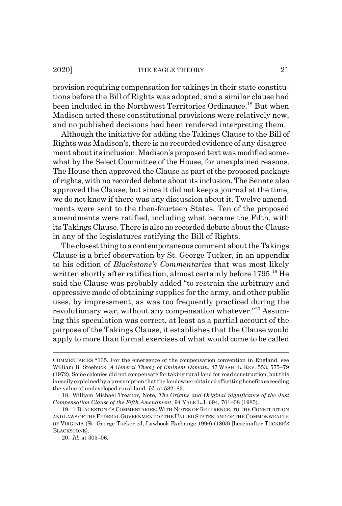provision requiring compensation for takings in their state constitutions before the Bill of Rights was adopted, and a similar clause had been included in the Northwest Territories Ordinance.<sup>18</sup> But when Madison acted these constitutional provisions were relatively new, and no published decisions had been rendered interpreting them.

Although the initiative for adding the Takings Clause to the Bill of Rights was Madison's, there is no recorded evidence of any disagreement about its inclusion. Madison's proposed text was modified somewhat by the Select Committee of the House, for unexplained reasons. The House then approved the Clause as part of the proposed package of rights, with no recorded debate about its inclusion. The Senate also approved the Clause, but since it did not keep a journal at the time, we do not know if there was any discussion about it. Twelve amendments were sent to the then-fourteen States. Ten of the proposed amendments were ratified, including what became the Fifth, with its Takings Clause. There is also no recorded debate about the Clause in any of the legislatures ratifying the Bill of Rights.

The closest thing to a contemporaneous comment about the Takings Clause is a brief observation by St. George Tucker, in an appendix to his edition of *Blackstone's Commentaries* that was most likely written shortly after ratification, almost certainly before 1795.<sup>19</sup> He said the Clause was probably added "to restrain the arbitrary and oppressive mode of obtaining supplies for the army, and other public uses, by impressment, as was too frequently practiced during the revolutionary war, without any compensation whatever."<sup>20</sup> Assuming this speculation was correct, at least as a partial account of the purpose of the Takings Clause, it establishes that the Clause would apply to more than formal exercises of what would come to be called

COMMENTARIES \*135. For the emergence of the compensation convention in England, see William B. Stoebuck, *A General Theory of Eminent Domain*, 47 WASH. L. REV. 553, 575–79 (1972). Some colonies did not compensate for taking rural land for road construction, but this is easily explained by a presumption that the landowner obtained offsetting benefits exceeding the value of undeveloped rural land. *Id.* at 582–83.

<sup>18.</sup> William Michael Treanor, Note, *The Origins and Original Significance of the Just Compensation Clause of the Fifth Amendment*, 94 YALE L.J. 694, 701–08 (1985).

<sup>19. 1</sup> BLACKSTONE'S COMMENTARIES: WITH NOTES OF REFERENCE, TO THE CONSTITUTION AND LAWS OF THE FEDERAL GOVERNMENT OF THE UNITED STATES; AND OF THE COMMONWEALTH OF VIRGINIA (St. George Tucker ed, Lawbook Exchange 1996) (1803) [hereinafter TUCKER'S BLACKSTONE].

<sup>20.</sup> *Id.* at 305–06.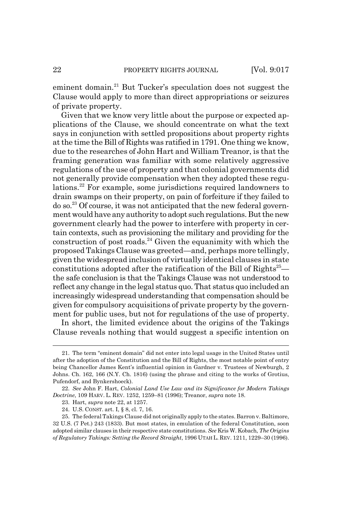eminent domain.<sup>21</sup> But Tucker's speculation does not suggest the Clause would apply to more than direct appropriations or seizures of private property.

Given that we know very little about the purpose or expected applications of the Clause, we should concentrate on what the text says in conjunction with settled propositions about property rights at the time the Bill of Rights was ratified in 1791. One thing we know, due to the researches of John Hart and William Treanor, is that the framing generation was familiar with some relatively aggressive regulations of the use of property and that colonial governments did not generally provide compensation when they adopted these regulations.22 For example, some jurisdictions required landowners to drain swamps on their property, on pain of forfeiture if they failed to do so.23 Of course, it was not anticipated that the new federal government would have any authority to adopt such regulations. But the new government clearly had the power to interfere with property in certain contexts, such as provisioning the military and providing for the construction of post roads.<sup>24</sup> Given the equanimity with which the proposed Takings Clause was greeted—and, perhaps more tellingly, given the widespread inclusion of virtually identical clauses in state constitutions adopted after the ratification of the Bill of  $Right's<sup>25</sup>$ the safe conclusion is that the Takings Clause was not understood to reflect any change in the legal status quo. That status quo included an increasingly widespread understanding that compensation should be given for compulsory acquisitions of private property by the government for public uses, but not for regulations of the use of property.

In short, the limited evidence about the origins of the Takings Clause reveals nothing that would suggest a specific intention on

<sup>21.</sup> The term "eminent domain" did not enter into legal usage in the United States until after the adoption of the Constitution and the Bill of Rights, the most notable point of entry being Chancellor James Kent's influential opinion in Gardner v. Trustees of Newburgh, 2 Johns. Ch. 162, 166 (N.Y. Ch. 1816) (using the phrase and citing to the works of Grotius, Pufendorf, and Bynkershoeck).

<sup>22.</sup> *See* John F. Hart, *Colonial Land Use Law and its Significance for Modern Takings Doctrine*, 109 HARV. L. REV. 1252, 1259–81 (1996); Treanor, *supra* note 18.

<sup>23.</sup> Hart, *supra* note 22, at 1257.

<sup>24.</sup> U.S. CONST. art. I, § 8, cl. 7, 16.

<sup>25.</sup> The federal Takings Clause did not originally apply to the states. Barron v. Baltimore, 32 U.S. (7 Pet.) 243 (1833). But most states, in emulation of the federal Constitution, soon adopted similar clauses in their respective state constitutions. *See* Kris W. Kobach, *The Origins of Regulatory Takings: Setting the Record Straight*, 1996 UTAH L. REV. 1211, 1229–30 (1996).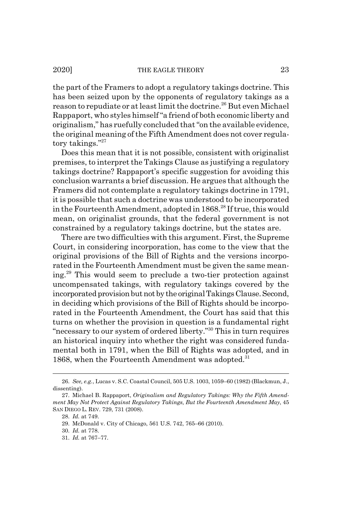the part of the Framers to adopt a regulatory takings doctrine. This has been seized upon by the opponents of regulatory takings as a reason to repudiate or at least limit the doctrine.<sup>26</sup> But even Michael Rappaport, who styles himself "a friend of both economic liberty and originalism," has ruefully concluded that "on the available evidence, the original meaning of the Fifth Amendment does not cover regulatory takings."27

Does this mean that it is not possible, consistent with originalist premises, to interpret the Takings Clause as justifying a regulatory takings doctrine? Rappaport's specific suggestion for avoiding this conclusion warrants a brief discussion. He argues that although the Framers did not contemplate a regulatory takings doctrine in 1791, it is possible that such a doctrine was understood to be incorporated in the Fourteenth Amendment, adopted in 1868.<sup>28</sup> If true, this would mean, on originalist grounds, that the federal government is not constrained by a regulatory takings doctrine, but the states are.

There are two difficulties with this argument. First, the Supreme Court, in considering incorporation, has come to the view that the original provisions of the Bill of Rights and the versions incorporated in the Fourteenth Amendment must be given the same meaning.29 This would seem to preclude a two-tier protection against uncompensated takings, with regulatory takings covered by the incorporated provision but not by the original Takings Clause. Second, in deciding which provisions of the Bill of Rights should be incorporated in the Fourteenth Amendment, the Court has said that this turns on whether the provision in question is a fundamental right "necessary to our system of ordered liberty."30 This in turn requires an historical inquiry into whether the right was considered fundamental both in 1791, when the Bill of Rights was adopted, and in 1868, when the Fourteenth Amendment was adopted.<sup>31</sup>

<sup>26.</sup> *See, e.g.*, Lucas v. S.C. Coastal Council, 505 U.S. 1003, 1059–60 (1982) (Blackmun, J., dissenting).

<sup>27.</sup> Michael B. Rappaport, *Originalism and Regulatory Takings: Why the Fifth Amendment May Not Protect Against Regulatory Takings, But the Fourteenth Amendment May*, 45 SAN DIEGO L. REV. 729, 731 (2008).

<sup>28.</sup> *Id.* at 749.

<sup>29.</sup> McDonald v. City of Chicago, 561 U.S. 742, 765–66 (2010).

<sup>30.</sup> *Id.* at 778.

<sup>31.</sup> *Id.* at 767–77.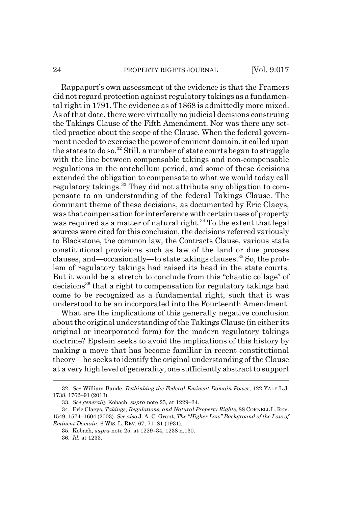Rappaport's own assessment of the evidence is that the Framers did not regard protection against regulatory takings as a fundamental right in 1791. The evidence as of 1868 is admittedly more mixed. As of that date, there were virtually no judicial decisions construing the Takings Clause of the Fifth Amendment. Nor was there any settled practice about the scope of the Clause. When the federal government needed to exercise the power of eminent domain, it called upon the states to do so.32 Still, a number of state courts began to struggle with the line between compensable takings and non-compensable regulations in the antebellum period, and some of these decisions extended the obligation to compensate to what we would today call regulatory takings.<sup>33</sup> They did not attribute any obligation to compensate to an understanding of the federal Takings Clause. The dominant theme of these decisions, as documented by Eric Claeys, was that compensation for interference with certain uses of property was required as a matter of natural right.<sup>34</sup> To the extent that legal sources were cited for this conclusion, the decisions referred variously to Blackstone, the common law, the Contracts Clause, various state constitutional provisions such as law of the land or due process clauses, and—occasionally—to state takings clauses.35 So, the problem of regulatory takings had raised its head in the state courts. But it would be a stretch to conclude from this "chaotic collage" of decisions36 that a right to compensation for regulatory takings had come to be recognized as a fundamental right, such that it was understood to be an incorporated into the Fourteenth Amendment.

What are the implications of this generally negative conclusion about the original understanding of the Takings Clause (in either its original or incorporated form) for the modern regulatory takings doctrine? Epstein seeks to avoid the implications of this history by making a move that has become familiar in recent constitutional theory—he seeks to identify the original understanding of the Clause at a very high level of generality, one sufficiently abstract to support

<sup>32.</sup> *See* William Baude, *Rethinking the Federal Eminent Domain Power*, 122 YALE L.J. 1738, 1762–91 (2013).

<sup>33.</sup> *See generally* Kobach, *supra* note 25, at 1229–34.

<sup>34.</sup> Eric Claeys, *Takings, Regulations, and Natural Property Rights*, 88 CORNELL L. REV. 1549, 1574–1604 (2003). *See also* J. A. C. Grant, *The "Higher Law" Background of the Law of Eminent Domain*, 6 WIS. L. REV. 67, 71–81 (1931).

<sup>35.</sup> Kobach, *supra* note 25, at 1229–34, 1238 n.130.

<sup>36.</sup> *Id.* at 1233.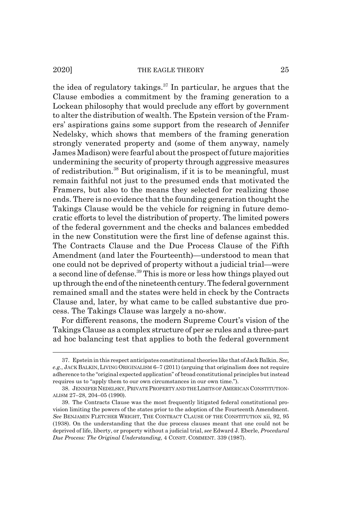the idea of regulatory takings.<sup>37</sup> In particular, he argues that the Clause embodies a commitment by the framing generation to a Lockean philosophy that would preclude any effort by government to alter the distribution of wealth. The Epstein version of the Framers' aspirations gains some support from the research of Jennifer Nedelsky, which shows that members of the framing generation strongly venerated property and (some of them anyway, namely James Madison) were fearful about the prospect of future majorities undermining the security of property through aggressive measures of redistribution.38 But originalism, if it is to be meaningful, must remain faithful not just to the presumed ends that motivated the Framers, but also to the means they selected for realizing those ends. There is no evidence that the founding generation thought the Takings Clause would be the vehicle for reigning in future democratic efforts to level the distribution of property. The limited powers of the federal government and the checks and balances embedded in the new Constitution were the first line of defense against this. The Contracts Clause and the Due Process Clause of the Fifth Amendment (and later the Fourteenth)—understood to mean that one could not be deprived of property without a judicial trial—were a second line of defense.39 This is more or less how things played out up through the end of the nineteenth century. The federal government remained small and the states were held in check by the Contracts Clause and, later, by what came to be called substantive due process. The Takings Clause was largely a no-show.

For different reasons, the modern Supreme Court's vision of the Takings Clause as a complex structure of per se rules and a three-part ad hoc balancing test that applies to both the federal government

<sup>37.</sup> Epstein in this respect anticipates constitutional theories like that of Jack Balkin. *See, e.g.*, JACK BALKIN,LIVING ORIGINALISM 6–7 (2011) (arguing that originalism does not require adherence to the "original expected application" of broad constitutional principles but instead requires us to "apply them to our own circumstances in our own time.").

<sup>38.</sup> JENNIFER NEDELSKY, PRIVATE PROPERTY AND THE LIMITS OF AMERICAN CONSTITUTION-ALISM 27–28, 204–05 (1990).

<sup>39.</sup> The Contracts Clause was the most frequently litigated federal constitutional provision limiting the powers of the states prior to the adoption of the Fourteenth Amendment. *See* BENJAMIN FLETCHER WRIGHT, THE CONTRACT CLAUSE OF THE CONSTITUTION xii, 92, 95 (1938). On the understanding that the due process clauses meant that one could not be deprived of life, liberty, or property without a judicial trial, *see* Edward J. Eberle, *Procedural Due Process: The Original Understanding*, 4 CONST. COMMENT. 339 (1987).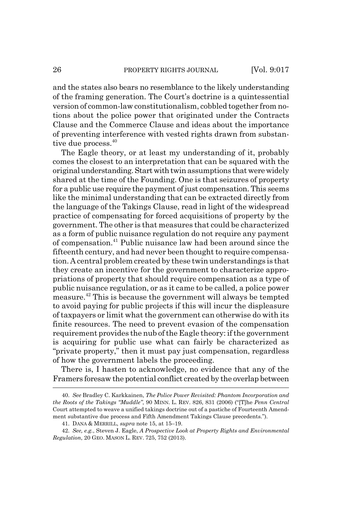and the states also bears no resemblance to the likely understanding of the framing generation. The Court's doctrine is a quintessential version of common-law constitutionalism, cobbled together from notions about the police power that originated under the Contracts Clause and the Commerce Clause and ideas about the importance of preventing interference with vested rights drawn from substantive due process.<sup>40</sup>

The Eagle theory, or at least my understanding of it, probably comes the closest to an interpretation that can be squared with the original understanding. Start with twin assumptions that were widely shared at the time of the Founding. One is that seizures of property for a public use require the payment of just compensation. This seems like the minimal understanding that can be extracted directly from the language of the Takings Clause, read in light of the widespread practice of compensating for forced acquisitions of property by the government. The other is that measures that could be characterized as a form of public nuisance regulation do not require any payment of compensation.41 Public nuisance law had been around since the fifteenth century, and had never been thought to require compensation. A central problem created by these twin understandings is that they create an incentive for the government to characterize appropriations of property that should require compensation as a type of public nuisance regulation, or as it came to be called, a police power measure.42 This is because the government will always be tempted to avoid paying for public projects if this will incur the displeasure of taxpayers or limit what the government can otherwise do with its finite resources. The need to prevent evasion of the compensation requirement provides the nub of the Eagle theory: if the government is acquiring for public use what can fairly be characterized as "private property," then it must pay just compensation, regardless of how the government labels the proceeding.

There is, I hasten to acknowledge, no evidence that any of the Framers foresaw the potential conflict created by the overlap between

<sup>40.</sup> *See* Bradley C. Karkkainen, *The Police Power Revisited: Phantom Incorporation and the Roots of the Takings "Muddle"*, 90 MINN. L. REV. 826, 831 (2006) ("[T]he *Penn Central* Court attempted to weave a unified takings doctrine out of a pastiche of Fourteenth Amendment substantive due process and Fifth Amendment Takings Clause precedents.").

<sup>41.</sup> DANA & MERRILL, *supra* note 15, at 15–19.

<sup>42.</sup> *See, e.g.*, Steven J. Eagle, *A Prospective Look at Property Rights and Environmental Regulation*, 20 GEO. MASON L. REV. 725, 752 (2013).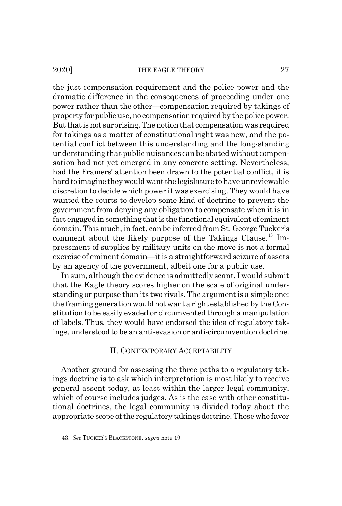the just compensation requirement and the police power and the dramatic difference in the consequences of proceeding under one power rather than the other—compensation required by takings of property for public use, no compensation required by the police power. But that is not surprising. The notion that compensation was required for takings as a matter of constitutional right was new, and the potential conflict between this understanding and the long-standing understanding that public nuisances can be abated without compensation had not yet emerged in any concrete setting. Nevertheless, had the Framers' attention been drawn to the potential conflict, it is hard to imagine they would want the legislature to have unreviewable discretion to decide which power it was exercising. They would have wanted the courts to develop some kind of doctrine to prevent the government from denying any obligation to compensate when it is in fact engaged in something that is the functional equivalent of eminent domain. This much, in fact, can be inferred from St. George Tucker's comment about the likely purpose of the Takings Clause.<sup>43</sup> Impressment of supplies by military units on the move is not a formal exercise of eminent domain—it is a straightforward seizure of assets by an agency of the government, albeit one for a public use.

In sum, although the evidence is admittedly scant, I would submit that the Eagle theory scores higher on the scale of original understanding or purpose than its two rivals. The argument is a simple one: the framing generation would not want a right established by the Constitution to be easily evaded or circumvented through a manipulation of labels. Thus, they would have endorsed the idea of regulatory takings, understood to be an anti-evasion or anti-circumvention doctrine.

#### II. CONTEMPORARY ACCEPTABILITY

Another ground for assessing the three paths to a regulatory takings doctrine is to ask which interpretation is most likely to receive general assent today, at least within the larger legal community, which of course includes judges. As is the case with other constitutional doctrines, the legal community is divided today about the appropriate scope of the regulatory takings doctrine. Those who favor

<sup>43.</sup> *See* TUCKER'S BLACKSTONE, *supra* note 19.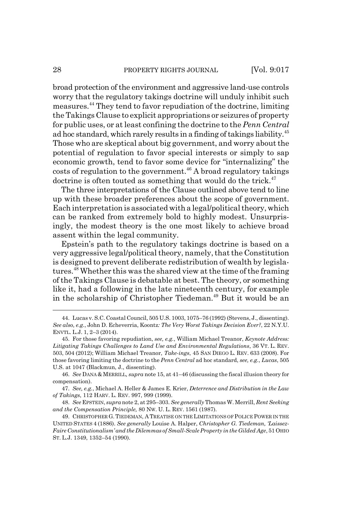broad protection of the environment and aggressive land-use controls worry that the regulatory takings doctrine will unduly inhibit such measures.44 They tend to favor repudiation of the doctrine, limiting the Takings Clause to explicit appropriations or seizures of property for public uses, or at least confining the doctrine to the *Penn Central* ad hoc standard, which rarely results in a finding of takings liability.<sup>45</sup> Those who are skeptical about big government, and worry about the potential of regulation to favor special interests or simply to sap economic growth, tend to favor some device for "internalizing" the  $costs$  of regulation to the government.<sup>46</sup> A broad regulatory takings doctrine is often touted as something that would do the trick. $47$ 

The three interpretations of the Clause outlined above tend to line up with these broader preferences about the scope of government. Each interpretation is associated with a legal/political theory, which can be ranked from extremely bold to highly modest. Unsurprisingly, the modest theory is the one most likely to achieve broad assent within the legal community.

Epstein's path to the regulatory takings doctrine is based on a very aggressive legal/political theory, namely, that the Constitution is designed to prevent deliberate redistribution of wealth by legislatures.<sup>48</sup> Whether this was the shared view at the time of the framing of the Takings Clause is debatable at best. The theory, or something like it, had a following in the late nineteenth century, for example in the scholarship of Christopher Tiedeman.<sup>49</sup> But it would be an

<sup>44.</sup> Lucas v. S.C. Coastal Council, 505 U.S. 1003, 1075–76 (1992) (Stevens, J., dissenting). *See also, e.g.*, John D. Echeverria, Koontz*: The Very Worst Takings Decision Ever?*, 22 N.Y.U. ENVTL. L.J. 1, 2–3 (2014).

<sup>45.</sup> For those favoring repudiation, *see, e.g.*, William Michael Treanor, *Keynote Address: Litigating Takings Challenges to Land Use and Environmental Regulations*, 36 VT. L. REV. 503, 504 (2012); William Michael Treanor, *Take-ings*, 45 SAN DIEGO L. REV. 633 (2008). For those favoring limiting the doctrine to the *Penn Central* ad hoc standard, *see, e.g.*, *Lucas*, 505 U.S. at 1047 (Blackmun, J., dissenting).

<sup>46.</sup> *See* DANA &MERRILL*, supra* note 15, at 41–46 (discussing the fiscal illusion theory for compensation).

<sup>47.</sup> *See, e.g.*, Michael A. Heller & James E. Krier, *Deterrence and Distribution in the Law of Takings*, 112 HARV. L. REV. 997, 999 (1999).

<sup>48.</sup> *See* EPSTEIN, *supra* note 2, at 295–303. *See generally* Thomas W. Merrill, *Rent Seeking and the Compensation Principle,* 80 NW. U. L. REV. 1561 (1987).

<sup>49.</sup> CHRISTOPHER G.TIEDEMAN, A TREATISE ON THE LIMITATIONS OF POLICE POWER IN THE UNITED STATES 4 (1886). *See generally* Louise A. Halper, *Christopher G. Tiedeman, 'Laissez-Faire Constitutionalism' and the Dilemmas of Small-Scale Property in the Gilded Age*, 51 OHIO ST. L.J. 1349, 1352–54 (1990).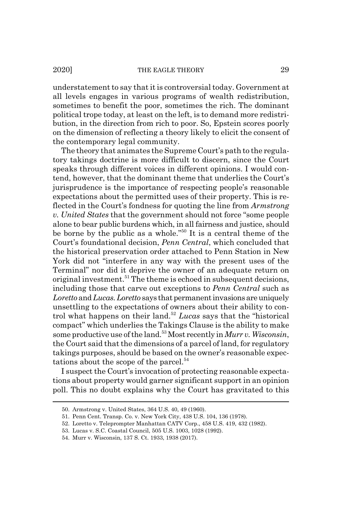understatement to say that it is controversial today. Government at all levels engages in various programs of wealth redistribution, sometimes to benefit the poor, sometimes the rich. The dominant political trope today, at least on the left, is to demand more redistribution, in the direction from rich to poor. So, Epstein scores poorly on the dimension of reflecting a theory likely to elicit the consent of the contemporary legal community.

The theory that animates the Supreme Court's path to the regulatory takings doctrine is more difficult to discern, since the Court speaks through different voices in different opinions. I would contend, however, that the dominant theme that underlies the Court's jurisprudence is the importance of respecting people's reasonable expectations about the permitted uses of their property. This is reflected in the Court's fondness for quoting the line from *Armstrong v. United States* that the government should not force "some people alone to bear public burdens which, in all fairness and justice, should be borne by the public as a whole."50 It is a central theme of the Court's foundational decision, *Penn Central*, which concluded that the historical preservation order attached to Penn Station in New York did not "interfere in any way with the present uses of the Terminal" nor did it deprive the owner of an adequate return on original investment.<sup>51</sup> The theme is echoed in subsequent decisions, including those that carve out exceptions to *Penn Central* such as *Loretto* and *Lucas.Loretto* says that permanent invasions are uniquely unsettling to the expectations of owners about their ability to control what happens on their land.52 *Lucas* says that the "historical compact" which underlies the Takings Clause is the ability to make some productive use of the land.53 Most recently in *Murr v. Wisconsin*, the Court said that the dimensions of a parcel of land, for regulatory takings purposes, should be based on the owner's reasonable expectations about the scope of the parcel.<sup>54</sup>

I suspect the Court's invocation of protecting reasonable expectations about property would garner significant support in an opinion poll. This no doubt explains why the Court has gravitated to this

<sup>50.</sup> Armstrong v. United States, 364 U.S. 40, 49 (1960).

<sup>51.</sup> Penn Cent. Transp. Co. v. New York City, 438 U.S. 104, 136 (1978).

<sup>52.</sup> Loretto v. Teleprompter Manhattan CATV Corp., 458 U.S. 419, 432 (1982).

<sup>53.</sup> Lucas v. S.C. Coastal Council, 505 U.S. 1003, 1028 (1992).

<sup>54.</sup> Murr v. Wisconsin, 137 S. Ct. 1933, 1938 (2017).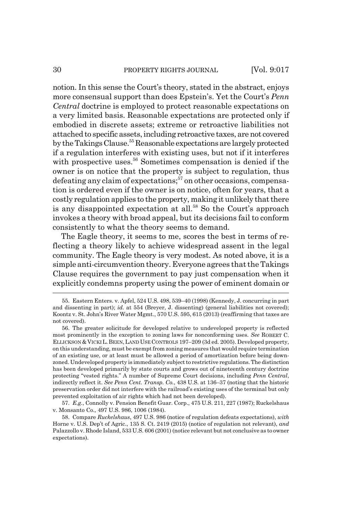#### 30 PROPERTY RIGHTS JOURNAL [Vol. 9:017

notion. In this sense the Court's theory, stated in the abstract, enjoys more consensual support than does Epstein's. Yet the Court's *Penn Central* doctrine is employed to protect reasonable expectations on a very limited basis. Reasonable expectations are protected only if embodied in discrete assets; extreme or retroactive liabilities not attached to specific assets, including retroactive taxes, are not covered by the Takings Clause.<sup>55</sup> Reasonable expectations are largely protected if a regulation interferes with existing uses, but not if it interferes with prospective uses.<sup>56</sup> Sometimes compensation is denied if the owner is on notice that the property is subject to regulation, thus defeating any claim of expectations;<sup>57</sup> on other occasions, compensation is ordered even if the owner is on notice, often for years, that a costly regulation applies to the property, making it unlikely that there is any disappointed expectation at all.<sup>58</sup> So the Court's approach invokes a theory with broad appeal, but its decisions fail to conform consistently to what the theory seems to demand.

The Eagle theory, it seems to me, scores the best in terms of reflecting a theory likely to achieve widespread assent in the legal community. The Eagle theory is very modest. As noted above, it is a simple anti-circumvention theory. Everyone agrees that the Takings Clause requires the government to pay just compensation when it explicitly condemns property using the power of eminent domain or

57. *E.g.*, Connolly v. Pension Benefit Guar. Corp., 475 U.S. 211, 227 (1987); Ruckelshaus v. Monsanto Co.*,* 497 U.S. 986, 1006 (1984).

<sup>55.</sup> Eastern Enters. v. Apfel, 524 U.S. 498, 539–40 (1998) (Kennedy, J. concurring in part and dissenting in part); *id.* at 554 (Breyer, J. dissenting) (general liabilities not covered); Koontz v. St. John's River Water Mgmt., 570 U.S. 595, 615 (2013) (reaffirming that taxes are not covered).

<sup>56.</sup> The greater solicitude for developed relative to undeveloped property is reflected most prominently in the exception to zoning laws for nonconforming uses. *See* ROBERT C. ELLICKSON & VICKI L.BEEN,LAND USE CONTROLS 197–209 (3d ed. 2005). Developed property, on this understanding, must be exempt from zoning measures that would require termination of an existing use, or at least must be allowed a period of amortization before being downzoned. Undeveloped property is immediately subject to restrictive regulations. The distinction has been developed primarily by state courts and grows out of nineteenth century doctrine protecting "vested rights." A number of Supreme Court decisions, including *Penn Central*, indirectly reflect it. *See Penn Cent. Transp. Co.*, 438 U.S. at 136–37 (noting that the historic preservation order did not interfere with the railroad's existing uses of the terminal but only prevented exploitation of air rights which had not been developed).

<sup>58.</sup> Compare *Ruckelshaus*, 497 U.S. 986 (notice of regulation defeats expectations), *with* Horne v. U.S. Dep't of Agric., 135 S. Ct. 2419 (2015) (notice of regulation not relevant), *and* Palazzollo v. Rhode Island, 533 U.S. 606 (2001) (notice relevant but not conclusive as to owner expectations).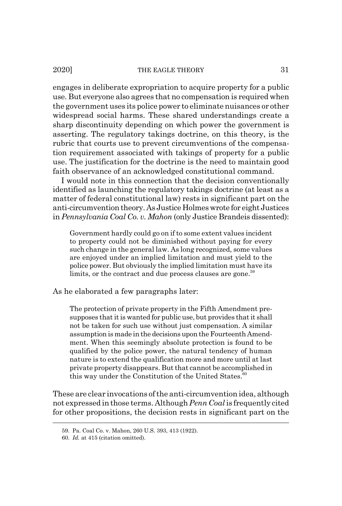engages in deliberate expropriation to acquire property for a public use. But everyone also agrees that no compensation is required when the government uses its police power to eliminate nuisances or other widespread social harms. These shared understandings create a sharp discontinuity depending on which power the government is asserting. The regulatory takings doctrine, on this theory, is the rubric that courts use to prevent circumventions of the compensation requirement associated with takings of property for a public use. The justification for the doctrine is the need to maintain good faith observance of an acknowledged constitutional command.

I would note in this connection that the decision conventionally identified as launching the regulatory takings doctrine (at least as a matter of federal constitutional law) rests in significant part on the anti-circumvention theory. As Justice Holmes wrote for eight Justices in *Pennsylvania Coal Co. v. Mahon* (only Justice Brandeis dissented):

Government hardly could go on if to some extent values incident to property could not be diminished without paying for every such change in the general law. As long recognized, some values are enjoyed under an implied limitation and must yield to the police power. But obviously the implied limitation must have its limits, or the contract and due process clauses are gone.<sup>59</sup>

As he elaborated a few paragraphs later:

The protection of private property in the Fifth Amendment presupposes that it is wanted for public use, but provides that it shall not be taken for such use without just compensation. A similar assumption is made in the decisions upon the Fourteenth Amendment. When this seemingly absolute protection is found to be qualified by the police power, the natural tendency of human nature is to extend the qualification more and more until at last private property disappears. But that cannot be accomplished in this way under the Constitution of the United States. $60$ 

These are clear invocations of the anti-circumvention idea, although not expressed in those terms. Although *Penn Coal* is frequently cited for other propositions, the decision rests in significant part on the

<sup>59.</sup> Pa. Coal Co. v. Mahon, 260 U.S. 393, 413 (1922).

<sup>60.</sup> *Id.* at 415 (citation omitted).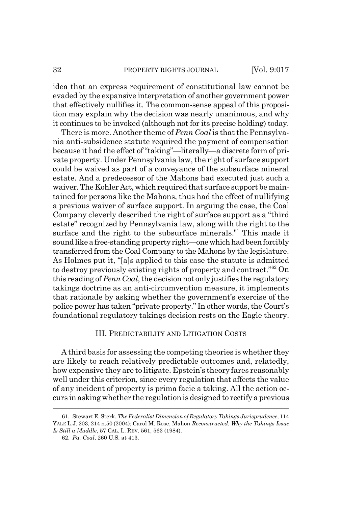idea that an express requirement of constitutional law cannot be evaded by the expansive interpretation of another government power that effectively nullifies it. The common-sense appeal of this proposition may explain why the decision was nearly unanimous, and why it continues to be invoked (although not for its precise holding) today.

There is more. Another theme of *Penn Coal* is that the Pennsylvania anti-subsidence statute required the payment of compensation because it had the effect of "taking"—literally—a discrete form of private property. Under Pennsylvania law, the right of surface support could be waived as part of a conveyance of the subsurface mineral estate. And a predecessor of the Mahons had executed just such a waiver. The Kohler Act, which required that surface support be maintained for persons like the Mahons, thus had the effect of nullifying a previous waiver of surface support. In arguing the case, the Coal Company cleverly described the right of surface support as a "third estate" recognized by Pennsylvania law, along with the right to the surface and the right to the subsurface minerals.<sup>61</sup> This made it sound like a free-standing property right—one which had been forcibly transferred from the Coal Company to the Mahons by the legislature. As Holmes put it, "[a]s applied to this case the statute is admitted to destroy previously existing rights of property and contract."62 On this reading of *Penn Coal*, the decision not only justifies the regulatory takings doctrine as an anti-circumvention measure, it implements that rationale by asking whether the government's exercise of the police power has taken "private property." In other words, the Court's foundational regulatory takings decision rests on the Eagle theory.

### III. PREDICTABILITY AND LITIGATION COSTS

A third basis for assessing the competing theories is whether they are likely to reach relatively predictable outcomes and, relatedly, how expensive they are to litigate. Epstein's theory fares reasonably well under this criterion, since every regulation that affects the value of any incident of property is prima facie a taking. All the action occurs in asking whether the regulation is designed to rectify a previous

<sup>61.</sup> Stewart E. Sterk, *The Federalist Dimension of Regulatory Takings Jurisprudence*, 114 YALE L.J. 203, 214 n.50 (2004); Carol M. Rose, Mahon *Reconstructed: Why the Takings Issue Is Still a Muddle*, 57 CAL. L. REV. 561, 563 (1984).

<sup>62.</sup> *Pa. Coal*, 260 U.S. at 413.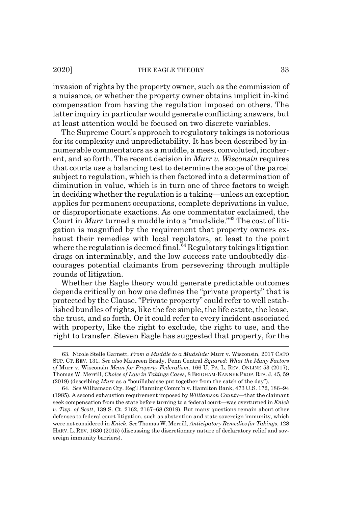2020] THE EAGLE THEORY 33

invasion of rights by the property owner, such as the commission of a nuisance, or whether the property owner obtains implicit in-kind compensation from having the regulation imposed on others. The latter inquiry in particular would generate conflicting answers, but at least attention would be focused on two discrete variables.

The Supreme Court's approach to regulatory takings is notorious for its complexity and unpredictability. It has been described by innumerable commentators as a muddle, a mess, convoluted, incoherent, and so forth. The recent decision in *Murr v. Wisconsin* requires that courts use a balancing test to determine the scope of the parcel subject to regulation, which is then factored into a determination of diminution in value, which is in turn one of three factors to weigh in deciding whether the regulation is a taking—unless an exception applies for permanent occupations, complete deprivations in value, or disproportionate exactions. As one commentator exclaimed, the Court in *Murr* turned a muddle into a "mudslide."63 The cost of litigation is magnified by the requirement that property owners exhaust their remedies with local regulators, at least to the point where the regulation is deemed final.<sup> $64$ </sup> Regulatory takings litigation drags on interminably, and the low success rate undoubtedly discourages potential claimants from persevering through multiple rounds of litigation.

Whether the Eagle theory would generate predictable outcomes depends critically on how one defines the "private property" that is protected by the Clause. "Private property" could refer to well established bundles of rights, like the fee simple, the life estate, the lease, the trust, and so forth. Or it could refer to every incident associated with property, like the right to exclude, the right to use, and the right to transfer. Steven Eagle has suggested that property, for the

<sup>63.</sup> Nicole Stelle Garnett, *From a Muddle to a Mudslide:* Murr v. Wisconsin, 2017 CATO SUP. CT. REV. 131*. See also* Maureen Brady, Penn Central *Squared: What the Many Factors of* Murr v. Wisconsin *Mean for Property Federalism,* 166 U. PA. L. REV. ONLINE 53 (2017); Thomas W. Merrill, *Choice of Law in Takings Cases*, 8 BRIGHAM-KANNER PROP. RTS. J. 45, 59 (2019) (describing *Murr* as a "bouillabaisse put together from the catch of the day").

<sup>64.</sup> *See* Williamson Cty. Reg'l Planning Comm'n v. Hamilton Bank, 473 U.S. 172, 186–94 (1985). A second exhaustion requirement imposed by *Williamson County*—that the claimant seek compensation from the state before turning to a federal court—was overturned in *Knick v. Twp. of Scott*, 139 S. Ct. 2162, 2167–68 (2019). But many questions remain about other defenses to federal court litigation, such as abstention and state sovereign immunity, which were not considered in *Knick*. *See* Thomas W. Merrill, *Anticipatory Remedies for Takings*, 128 HARV. L. REV. 1630 (2015) (discussing the discretionary nature of declaratory relief and sovereign immunity barriers).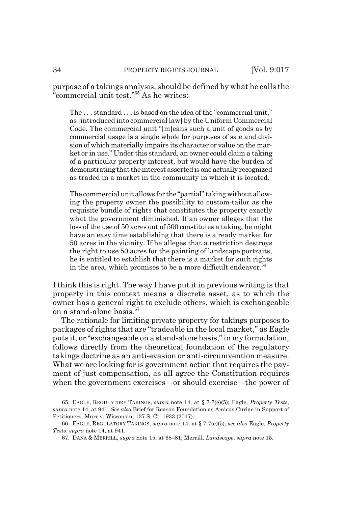purpose of a takings analysis, should be defined by what he calls the "commercial unit test."65 As he writes:

The . . . standard . . . is based on the idea of the "commercial unit," as [introduced into commercial law] by the Uniform Commercial Code. The commercial unit "[m]eans such a unit of goods as by commercial usage is a single whole for purposes of sale and division of which materially impairs its character or value on the market or in use." Under this standard, an owner could claim a taking of a particular property interest, but would have the burden of demonstrating that the interest asserted is one actually recognized as traded in a market in the community in which it is located.

The commercial unit allows for the "partial" taking without allowing the property owner the possibility to custom-tailor as the requisite bundle of rights that constitutes the property exactly what the government diminished. If an owner alleges that the loss of the use of 50 acres out of 500 constitutes a taking, he might have an easy time establishing that there is a ready market for 50 acres in the vicinity. If he alleges that a restriction destroys the right to use 50 acres for the painting of landscape portraits, he is entitled to establish that there is a market for such rights in the area, which promises to be a more difficult endeavor. $66$ 

I think this is right. The way I have put it in previous writing is that property in this context means a discrete asset, as to which the owner has a general right to exclude others, which is exchangeable on a stand-alone basis.<sup>67</sup>

The rationale for limiting private property for takings purposes to packages of rights that are "tradeable in the local market," as Eagle puts it, or "exchangeable on a stand-alone basis," in my formulation, follows directly from the theoretical foundation of the regulatory takings doctrine as an anti-evasion or anti-circumvention measure. What we are looking for is government action that requires the payment of just compensation, as all agree the Constitution requires when the government exercises—or should exercise—the power of

<sup>65.</sup> EAGLE, REGULATORY TAKINGS, *supra* note 14, at § 7-7(e)(5); Eagle, *Property Tests*, *supra* note 14, at 941. *See also* Brief for Reason Foundation as Amicus Curiae in Support of Petitioners, Murr v. Wisconsin, 137 S. Ct. 1933 (2017).

<sup>66.</sup> EAGLE, REGULATORY TAKINGS, *supra* note 14, at § 7-7(e)(5); *see also* Eagle, *Property Tests*, *supra* note 14, at 941.

<sup>67.</sup> DANA & MERRILL, *supra* note 15, at 68–81; Merrill, *Landscape*, *supra* note 15.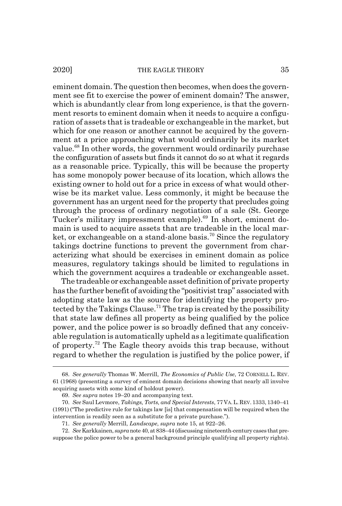eminent domain. The question then becomes, when does the government see fit to exercise the power of eminent domain? The answer, which is abundantly clear from long experience, is that the government resorts to eminent domain when it needs to acquire a configuration of assets that is tradeable or exchangeable in the market, but which for one reason or another cannot be acquired by the government at a price approaching what would ordinarily be its market value.<sup>68</sup> In other words, the government would ordinarily purchase the configuration of assets but finds it cannot do so at what it regards as a reasonable price. Typically, this will be because the property has some monopoly power because of its location, which allows the existing owner to hold out for a price in excess of what would otherwise be its market value. Less commonly, it might be because the government has an urgent need for the property that precludes going through the process of ordinary negotiation of a sale (St. George Tucker's military impressment example).<sup>69</sup> In short, eminent domain is used to acquire assets that are tradeable in the local market, or exchangeable on a stand-alone basis.<sup>70</sup> Since the regulatory takings doctrine functions to prevent the government from characterizing what should be exercises in eminent domain as police measures, regulatory takings should be limited to regulations in which the government acquires a tradeable or exchangeable asset.

The tradeable or exchangeable asset definition of private property has the further benefit of avoiding the "positivist trap" associated with adopting state law as the source for identifying the property protected by the Takings Clause.71 The trap is created by the possibility that state law defines all property as being qualified by the police power, and the police power is so broadly defined that any conceivable regulation is automatically upheld as a legitimate qualification of property.72 The Eagle theory avoids this trap because, without regard to whether the regulation is justified by the police power, if

<sup>68.</sup> *See generally* Thomas W. Merrill, *The Economics of Public Use*, 72 CORNELL L. REV. 61 (1968) (presenting a survey of eminent domain decisions showing that nearly all involve acquiring assets with some kind of holdout power).

<sup>69.</sup> *See supra* notes 19–20 and accompanying text.

<sup>70.</sup> *See* Saul Levmore, *Takings, Torts, and Special Interests*, 77VA.L.REV.1333, 1340–41 (1991) ("The predictive rule for takings law [is] that compensation will be required when the intervention is readily seen as a substitute for a private purchase.").

<sup>71.</sup> *See generally* Merrill, *Landscape*, *supra* note 15, at 922–26.

<sup>72.</sup> *See* Karkkainen, *supra* note 40, at 838–44 (discussing nineteenth-century cases that presuppose the police power to be a general background principle qualifying all property rights).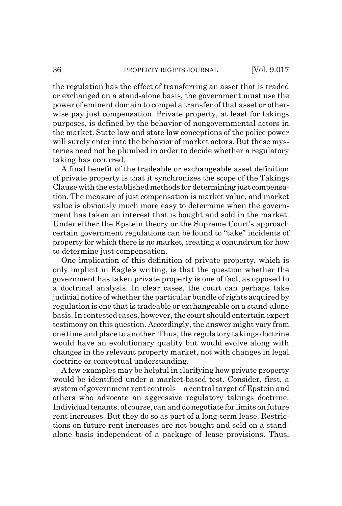the regulation has the effect of transferring an asset that is traded or exchanged on a stand-alone basis, the government must use the power of eminent domain to compel a transfer of that asset or otherwise pay just compensation. Private property, at least for takings purposes, is defined by the behavior of nongovernmental actors in the market. State law and state law conceptions of the police power will surely enter into the behavior of market actors. But these mysteries need not be plumbed in order to decide whether a regulatory taking has occurred.

A final benefit of the tradeable or exchangeable asset definition of private property is that it synchronizes the scope of the Takings Clause with the established methods for determining just compensation. The measure of just compensation is market value, and market value is obviously much more easy to determine when the government has taken an interest that is bought and sold in the market. Under either the Epstein theory or the Supreme Court's approach certain government regulations can be found to "take" incidents of property for which there is no market, creating a conundrum for how to determine just compensation.

One implication of this definition of private property, which is only implicit in Eagle's writing, is that the question whether the government has taken private property is one of fact, as opposed to a doctrinal analysis. In clear cases, the court can perhaps take judicial notice of whether the particular bundle of rights acquired by regulation is one that is tradeable or exchangeable on a stand-alone basis. In contested cases, however, the court should entertain expert testimony on this question. Accordingly, the answer might vary from one time and place to another. Thus, the regulatory takings doctrine would have an evolutionary quality but would evolve along with changes in the relevant property market, not with changes in legal doctrine or conceptual understanding.

A few examples may be helpful in clarifying how private property would be identified under a market-based test. Consider, first, a system of government rent controls—a central target of Epstein and others who advocate an aggressive regulatory takings doctrine. Individual tenants, of course, can and do negotiate for limits on future rent increases. But they do so as part of a long-term lease. Restrictions on future rent increases are not bought and sold on a standalone basis independent of a package of lease provisions. Thus,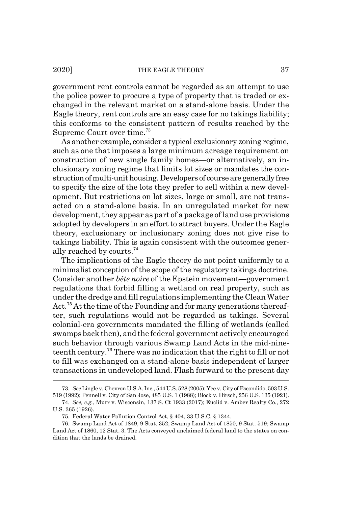government rent controls cannot be regarded as an attempt to use the police power to procure a type of property that is traded or exchanged in the relevant market on a stand-alone basis. Under the Eagle theory, rent controls are an easy case for no takings liability; this conforms to the consistent pattern of results reached by the Supreme Court over time.73

As another example, consider a typical exclusionary zoning regime, such as one that imposes a large minimum acreage requirement on construction of new single family homes—or alternatively, an inclusionary zoning regime that limits lot sizes or mandates the construction of multi-unit housing. Developers of course are generally free to specify the size of the lots they prefer to sell within a new development. But restrictions on lot sizes, large or small, are not transacted on a stand-alone basis. In an unregulated market for new development, they appear as part of a package of land use provisions adopted by developers in an effort to attract buyers. Under the Eagle theory, exclusionary or inclusionary zoning does not give rise to takings liability. This is again consistent with the outcomes generally reached by courts.<sup>74</sup>

The implications of the Eagle theory do not point uniformly to a minimalist conception of the scope of the regulatory takings doctrine. Consider another *bête noire* of the Epstein movement—government regulations that forbid filling a wetland on real property, such as under the dredge and fill regulations implementing the Clean Water Act.<sup>75</sup> At the time of the Founding and for many generations thereafter, such regulations would not be regarded as takings. Several colonial-era governments mandated the filling of wetlands (called swamps back then), and the federal government actively encouraged such behavior through various Swamp Land Acts in the mid-nineteenth century.76 There was no indication that the right to fill or not to fill was exchanged on a stand-alone basis independent of larger transactions in undeveloped land. Flash forward to the present day

<sup>73.</sup> *See* Lingle v. Chevron U.S.A. Inc., 544 U.S. 528 (2005); Yee v. City of Escondido, 503 U.S. 519 (1992); Pennell v. City of San Jose, 485 U.S. 1 (1988); Block v. Hirsch, 256 U.S. 135 (1921).

<sup>74.</sup> *See, e.g.*, Murr v. Wisconsin, 137 S. Ct 1933 (2017); Euclid v. Amber Realty Co., 272 U.S. 365 (1926).

<sup>75.</sup> Federal Water Pollution Control Act, § 404, 33 U.S.C. § 1344.

<sup>76.</sup> Swamp Land Act of 1849, 9 Stat. 352; Swamp Land Act of 1850, 9 Stat. 519; Swamp Land Act of 1860, 12 Stat. 3. The Acts conveyed unclaimed federal land to the states on condition that the lands be drained.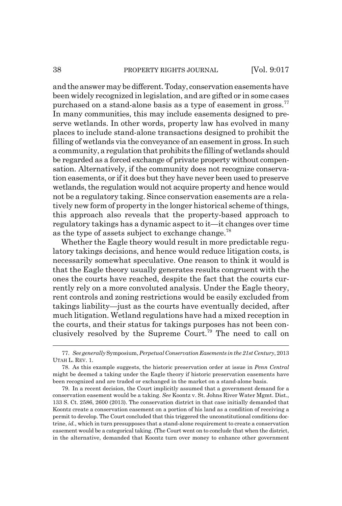#### 38 PROPERTY RIGHTS JOURNAL [Vol. 9:017

and the answer may be different. Today, conservation easements have been widely recognized in legislation, and are gifted or in some cases purchased on a stand-alone basis as a type of easement in gross.<sup>77</sup> In many communities, this may include easements designed to preserve wetlands. In other words, property law has evolved in many places to include stand-alone transactions designed to prohibit the filling of wetlands via the conveyance of an easement in gross. In such a community, a regulation that prohibits the filling of wetlands should be regarded as a forced exchange of private property without compensation. Alternatively, if the community does not recognize conservation easements, or if it does but they have never been used to preserve wetlands, the regulation would not acquire property and hence would not be a regulatory taking. Since conservation easements are a relatively new form of property in the longer historical scheme of things, this approach also reveals that the property-based approach to regulatory takings has a dynamic aspect to it—it changes over time as the type of assets subject to exchange change.<sup>78</sup>

Whether the Eagle theory would result in more predictable regulatory takings decisions, and hence would reduce litigation costs, is necessarily somewhat speculative. One reason to think it would is that the Eagle theory usually generates results congruent with the ones the courts have reached, despite the fact that the courts currently rely on a more convoluted analysis. Under the Eagle theory, rent controls and zoning restrictions would be easily excluded from takings liability—just as the courts have eventually decided, after much litigation. Wetland regulations have had a mixed reception in the courts, and their status for takings purposes has not been conclusively resolved by the Supreme Court.<sup>79</sup> The need to call on

<sup>77.</sup> *See generally* Symposium, *Perpetual Conservation Easements in the 21st Century*, 2013 UTAH L. REV. 1.

<sup>78.</sup> As this example suggests, the historic preservation order at issue in *Penn Central* might be deemed a taking under the Eagle theory if historic preservation easements have been recognized and are traded or exchanged in the market on a stand-alone basis.

<sup>79.</sup> In a recent decision, the Court implicitly assumed that a government demand for a conservation easement would be a taking. *See* Koontz v. St. Johns River Water Mgmt. Dist., 133 S. Ct. 2586, 2600 (2013). The conservation district in that case initially demanded that Koontz create a conservation easement on a portion of his land as a condition of receiving a permit to develop. The Court concluded that this triggered the unconstitutional conditions doctrine, *id.*, which in turn presupposes that a stand-alone requirement to create a conservation easement would be a categorical taking. (The Court went on to conclude that when the district, in the alternative, demanded that Koontz turn over money to enhance other government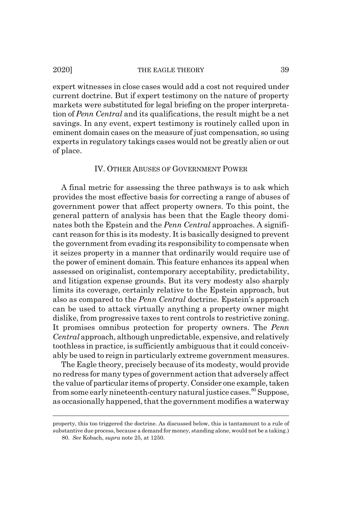expert witnesses in close cases would add a cost not required under current doctrine. But if expert testimony on the nature of property markets were substituted for legal briefing on the proper interpretation of *Penn Central* and its qualifications, the result might be a net savings. In any event, expert testimony is routinely called upon in eminent domain cases on the measure of just compensation, so using experts in regulatory takings cases would not be greatly alien or out of place.

#### IV. OTHER ABUSES OF GOVERNMENT POWER

A final metric for assessing the three pathways is to ask which provides the most effective basis for correcting a range of abuses of government power that affect property owners. To this point, the general pattern of analysis has been that the Eagle theory dominates both the Epstein and the *Penn Central* approaches. A significant reason for this is its modesty. It is basically designed to prevent the government from evading its responsibility to compensate when it seizes property in a manner that ordinarily would require use of the power of eminent domain. This feature enhances its appeal when assessed on originalist, contemporary acceptability, predictability, and litigation expense grounds. But its very modesty also sharply limits its coverage, certainly relative to the Epstein approach, but also as compared to the *Penn Central* doctrine. Epstein's approach can be used to attack virtually anything a property owner might dislike, from progressive taxes to rent controls to restrictive zoning. It promises omnibus protection for property owners. The *Penn Central* approach, although unpredictable, expensive, and relatively toothless in practice, is sufficiently ambiguous that it could conceivably be used to reign in particularly extreme government measures.

The Eagle theory, precisely because of its modesty, would provide no redress for many types of government action that adversely affect the value of particular items of property. Consider one example, taken from some early nineteenth-century natural justice cases.<sup>80</sup> Suppose, as occasionally happened, that the government modifies a waterway

property, this too triggered the doctrine. As discussed below, this is tantamount to a rule of substantive due process, because a demand for money, standing alone, would not be a taking.) 80. *See* Kobach, *supra* note 25, at 1250.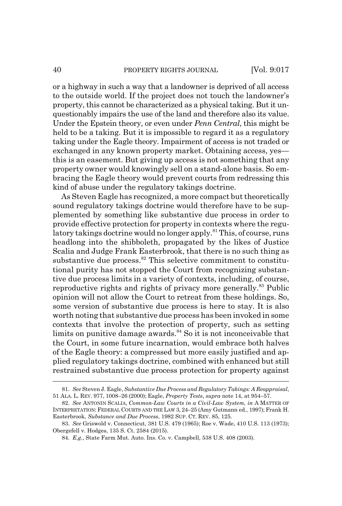or a highway in such a way that a landowner is deprived of all access to the outside world. If the project does not touch the landowner's property, this cannot be characterized as a physical taking. But it unquestionably impairs the use of the land and therefore also its value. Under the Epstein theory, or even under *Penn Central*, this might be held to be a taking. But it is impossible to regard it as a regulatory taking under the Eagle theory. Impairment of access is not traded or exchanged in any known property market. Obtaining access, yes this is an easement. But giving up access is not something that any property owner would knowingly sell on a stand-alone basis. So embracing the Eagle theory would prevent courts from redressing this kind of abuse under the regulatory takings doctrine.

As Steven Eagle has recognized, a more compact but theoretically sound regulatory takings doctrine would therefore have to be supplemented by something like substantive due process in order to provide effective protection for property in contexts where the regulatory takings doctrine would no longer apply.<sup>81</sup> This, of course, runs headlong into the shibboleth, propagated by the likes of Justice Scalia and Judge Frank Easterbrook, that there is no such thing as substantive due process.<sup>82</sup> This selective commitment to constitutional purity has not stopped the Court from recognizing substantive due process limits in a variety of contexts, including, of course, reproductive rights and rights of privacy more generally.<sup>83</sup> Public opinion will not allow the Court to retreat from these holdings. So, some version of substantive due process is here to stay. It is also worth noting that substantive due process has been invoked in some contexts that involve the protection of property, such as setting limits on punitive damage awards. $84$  So it is not inconceivable that the Court, in some future incarnation, would embrace both halves of the Eagle theory: a compressed but more easily justified and applied regulatory takings doctrine, combined with enhanced but still restrained substantive due process protection for property against

<sup>81.</sup> *See* Steven J. Eagle, *Substantive Due Process and Regulatory Takings: A Reappraisal*, 51 ALA. L. REV. 977, 1008–26 (2000); Eagle, *Property Tests*, *supra* note 14, at 954–57.

<sup>82.</sup> *See* ANTONIN SCALIA, *Common-Law Courts in a Civil-Law System*, *in* A MATTER OF INTERPRETATION: FEDERAL COURTS AND THE LAW 3, 24–25 (Amy Gutmann ed., 1997); Frank H. Easterbrook, *Substance and Due Process*, 1982 SUP. CT. REV. 85, 125.

<sup>83.</sup> *See* Griswold v. Connecticut, 381 U.S. 479 (1965); Roe v. Wade, 410 U.S. 113 (1973); Obergefell v. Hodges, 135 S. Ct. 2584 (2015).

<sup>84.</sup> *E.g.*, State Farm Mut. Auto. Ins. Co. v. Campbell, 538 U.S. 408 (2003).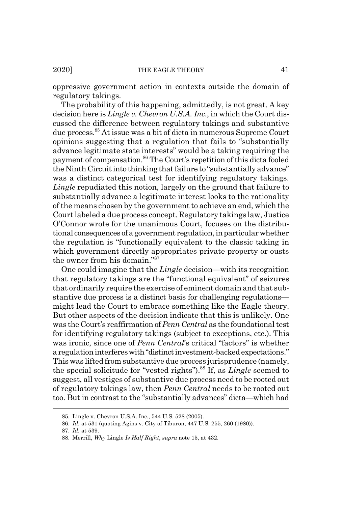oppressive government action in contexts outside the domain of regulatory takings.

The probability of this happening, admittedly, is not great. A key decision here is *Lingle v. Chevron U.S.A. Inc*., in which the Court discussed the difference between regulatory takings and substantive due process.85 At issue was a bit of dicta in numerous Supreme Court opinions suggesting that a regulation that fails to "substantially advance legitimate state interests" would be a taking requiring the payment of compensation.86 The Court's repetition of this dicta fooled the Ninth Circuit into thinking that failure to "substantially advance" was a distinct categorical test for identifying regulatory takings. *Lingle* repudiated this notion, largely on the ground that failure to substantially advance a legitimate interest looks to the rationality of the means chosen by the government to achieve an end, which the Court labeled a due process concept. Regulatory takings law, Justice O'Connor wrote for the unanimous Court, focuses on the distributional consequences of a government regulation, in particular whether the regulation is "functionally equivalent to the classic taking in which government directly appropriates private property or ousts the owner from his domain."87

One could imagine that the *Lingle* decision—with its recognition that regulatory takings are the "functional equivalent" of seizures that ordinarily require the exercise of eminent domain and that substantive due process is a distinct basis for challenging regulations might lead the Court to embrace something like the Eagle theory. But other aspects of the decision indicate that this is unlikely. One was the Court's reaffirmation of *Penn Central* as the foundational test for identifying regulatory takings (subject to exceptions, etc.). This was ironic, since one of *Penn Central*'s critical "factors" is whether a regulation interferes with "distinct investment-backed expectations." This was lifted from substantive due process jurisprudence (namely, the special solicitude for "vested rights").88 If, as *Lingle* seemed to suggest, all vestiges of substantive due process need to be rooted out of regulatory takings law, then *Penn Central* needs to be rooted out too. But in contrast to the "substantially advances" dicta—which had

<sup>85.</sup> Lingle v. Chevron U.S.A. Inc., 544 U.S. 528 (2005).

<sup>86.</sup> *Id.* at 531 (quoting Agins v. City of Tiburon, 447 U.S. 255, 260 (1980)).

<sup>87.</sup> *Id.* at 539.

<sup>88.</sup> Merrill, *Why* Lingle *Is Half Right*, *supra* note 15, at 432.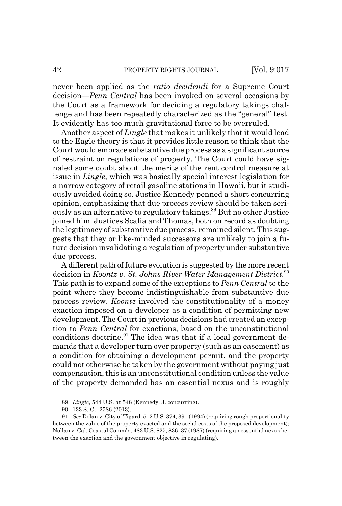never been applied as the *ratio decidendi* for a Supreme Court decision—*Penn Central* has been invoked on several occasions by the Court as a framework for deciding a regulatory takings challenge and has been repeatedly characterized as the "general" test. It evidently has too much gravitational force to be overruled.

Another aspect of *Lingle* that makes it unlikely that it would lead to the Eagle theory is that it provides little reason to think that the Court would embrace substantive due process as a significant source of restraint on regulations of property. The Court could have signaled some doubt about the merits of the rent control measure at issue in *Lingle*, which was basically special interest legislation for a narrow category of retail gasoline stations in Hawaii, but it studiously avoided doing so. Justice Kennedy penned a short concurring opinion, emphasizing that due process review should be taken seriously as an alternative to regulatory takings.89 But no other Justice joined him. Justices Scalia and Thomas, both on record as doubting the legitimacy of substantive due process, remained silent. This suggests that they or like-minded successors are unlikely to join a future decision invalidating a regulation of property under substantive due process.

A different path of future evolution is suggested by the more recent decision in *Koontz v. St. Johns River Water Management District.*<sup>90</sup> This path is to expand some of the exceptions to *Penn Central* to the point where they become indistinguishable from substantive due process review. *Koontz* involved the constitutionality of a money exaction imposed on a developer as a condition of permitting new development. The Court in previous decisions had created an exception to *Penn Central* for exactions, based on the unconstitutional conditions doctrine.<sup>91</sup> The idea was that if a local government demands that a developer turn over property (such as an easement) as a condition for obtaining a development permit, and the property could not otherwise be taken by the government without paying just compensation, this is an unconstitutional condition unless the value of the property demanded has an essential nexus and is roughly

<sup>89.</sup> *Lingle*, 544 U.S. at 548 (Kennedy, J. concurring).

<sup>90. 133</sup> S. Ct. 2586 (2013).

<sup>91.</sup> *See* Dolan v. City of Tigard, 512 U.S. 374, 391 (1994) (requiring rough proportionality between the value of the property exacted and the social costs of the proposed development); Nollan v. Cal. Coastal Comm'n, 483 U.S. 825, 836–37 (1987) (requiring an essential nexus between the exaction and the government objective in regulating).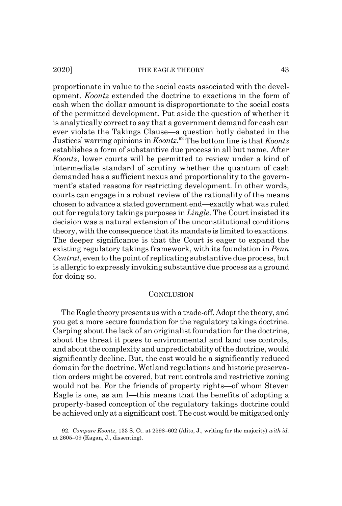proportionate in value to the social costs associated with the development. *Koontz* extended the doctrine to exactions in the form of cash when the dollar amount is disproportionate to the social costs of the permitted development. Put aside the question of whether it is analytically correct to say that a government demand for cash can ever violate the Takings Clause—a question hotly debated in the Justices' warring opinions in *Koontz*. 92 The bottom line is that *Koontz* establishes a form of substantive due process in all but name. After *Koontz*, lower courts will be permitted to review under a kind of intermediate standard of scrutiny whether the quantum of cash demanded has a sufficient nexus and proportionality to the government's stated reasons for restricting development. In other words, courts can engage in a robust review of the rationality of the means chosen to advance a stated government end—exactly what was ruled out for regulatory takings purposes in *Lingle*. The Court insisted its decision was a natural extension of the unconstitutional conditions theory, with the consequence that its mandate is limited to exactions. The deeper significance is that the Court is eager to expand the existing regulatory takings framework, with its foundation in *Penn Central*, even to the point of replicating substantive due process, but is allergic to expressly invoking substantive due process as a ground for doing so.

#### **CONCLUSION**

The Eagle theory presents us with a trade-off. Adopt the theory, and you get a more secure foundation for the regulatory takings doctrine. Carping about the lack of an originalist foundation for the doctrine, about the threat it poses to environmental and land use controls, and about the complexity and unpredictability of the doctrine, would significantly decline. But, the cost would be a significantly reduced domain for the doctrine. Wetland regulations and historic preservation orders might be covered, but rent controls and restrictive zoning would not be. For the friends of property rights—of whom Steven Eagle is one, as am I—this means that the benefits of adopting a property-based conception of the regulatory takings doctrine could be achieved only at a significant cost. The cost would be mitigated only

<sup>92.</sup> *Compare Koontz*, 133 S. Ct. at 2598–602 (Alito, J., writing for the majority) *with id.* at 2605–09 (Kagan, J., dissenting).